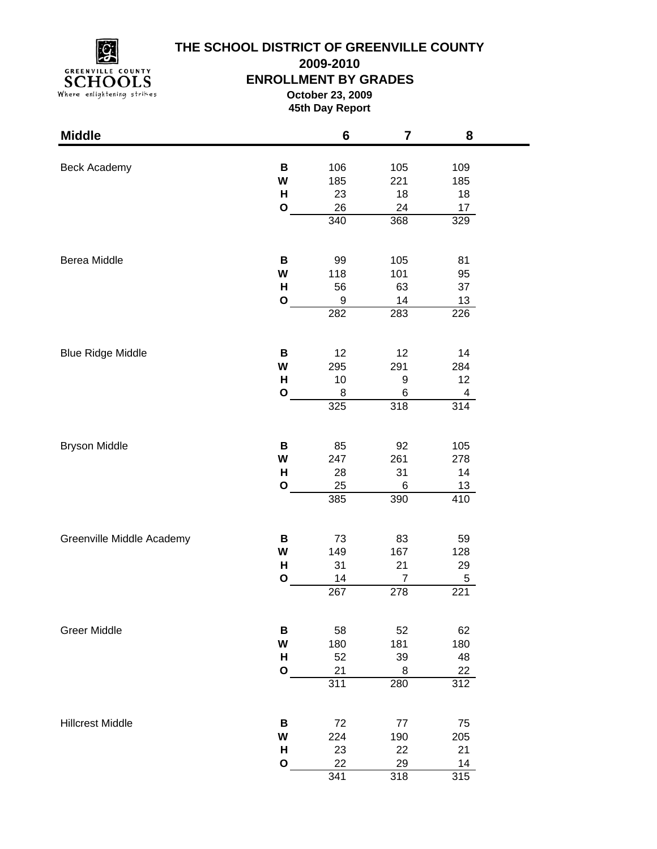

**2009-2010**

### **ENROLLMENT BY GRADES**

**October 23, 2009 45th Day Report**

| <b>Middle</b>             |              | $6\phantom{1}$ | $\overline{\mathbf{7}}$ | 8          |  |
|---------------------------|--------------|----------------|-------------------------|------------|--|
|                           |              |                |                         |            |  |
| <b>Beck Academy</b>       | B<br>W       | 106<br>185     | 105<br>221              | 109<br>185 |  |
|                           | H            | 23             | 18                      | 18         |  |
|                           | $\mathbf O$  | 26             | 24                      | 17         |  |
|                           |              | 340            | 368                     | 329        |  |
|                           |              |                |                         |            |  |
| Berea Middle              | В            | 99             | 105                     | 81         |  |
|                           | W            | 118            | 101                     | 95         |  |
|                           | H            | 56             | 63                      | 37         |  |
|                           | $\mathbf{o}$ | 9              | 14                      | 13         |  |
|                           |              | 282            | 283                     | 226        |  |
| <b>Blue Ridge Middle</b>  | В            | 12             | 12                      | 14         |  |
|                           | W            | 295            | 291                     | 284        |  |
|                           | H            | 10             | 9                       | 12         |  |
|                           | $\mathbf{o}$ | 8              | 6                       | 4          |  |
|                           |              | 325            | 318                     | 314        |  |
|                           |              |                |                         |            |  |
| <b>Bryson Middle</b>      | В            | 85             | 92                      | 105        |  |
|                           | W            | 247            | 261                     | 278        |  |
|                           | H            | 28             | 31                      | 14         |  |
|                           | $\mathbf{o}$ | 25             | 6                       | 13         |  |
|                           |              | 385            | 390                     | 410        |  |
| Greenville Middle Academy | В            | 73             | 83                      | 59         |  |
|                           | W            | 149            | 167                     | 128        |  |
|                           | Н            | 31             | 21                      | 29         |  |
|                           | $\mathbf{o}$ | 14             | $\boldsymbol{7}$        | 5          |  |
|                           |              | 267            | 278                     | 221        |  |
| <b>Greer Middle</b>       | B            | 58             | 52                      | 62         |  |
|                           | W            | 180            | 181                     | 180        |  |
|                           | H            | 52             | 39                      | 48         |  |
|                           | $\mathbf{o}$ | 21             | 8                       | 22         |  |
|                           |              | 311            | 280                     | 312        |  |
| <b>Hillcrest Middle</b>   | В            | 72             | 77                      | 75         |  |
|                           | W            | 224            | 190                     | 205        |  |
|                           | H            | 23             | 22                      | 21         |  |
|                           | $\mathbf{o}$ | 22             | 29                      | 14         |  |
|                           |              | 341            | 318                     | 315        |  |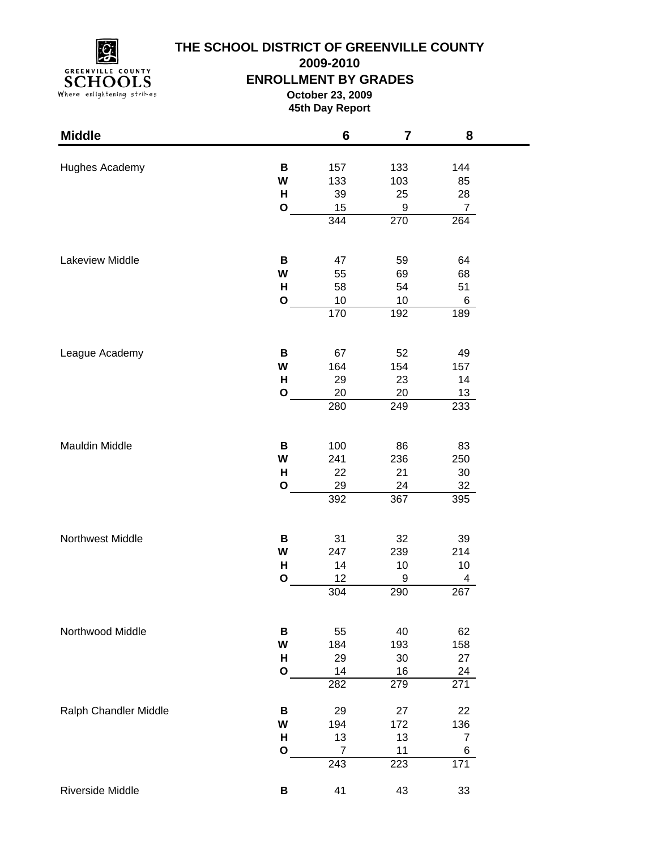

**2009-2010**

### **ENROLLMENT BY GRADES**

**October 23, 2009 45th Day Report**

| <b>Middle</b>         |              | 6              | 7         | 8                |  |
|-----------------------|--------------|----------------|-----------|------------------|--|
| Hughes Academy        | В            | 157            | 133       | 144              |  |
|                       | W            | 133            | 103       | 85               |  |
|                       | Н            | 39             | 25        | 28               |  |
|                       | $\mathbf{o}$ | 15             | 9         | $\overline{7}$   |  |
|                       |              | 344            | 270       | 264              |  |
|                       |              |                |           |                  |  |
| Lakeview Middle       | В            | 47             | 59        | 64               |  |
|                       | W            | 55             | 69        | 68               |  |
|                       | н            | 58             | 54        | 51               |  |
|                       | O            | 10             | 10        | 6                |  |
|                       |              | 170            | 192       | 189              |  |
| League Academy        | В            | 67             | 52        | 49               |  |
|                       | W            | 164            | 154       | 157              |  |
|                       | н            | 29             | 23        | 14               |  |
|                       | $\mathbf{o}$ | 20             | 20        | 13               |  |
|                       |              | 280            | 249       | 233              |  |
|                       |              |                |           |                  |  |
| Mauldin Middle        | В            | 100            | 86        | 83               |  |
|                       | W            | 241            | 236       | 250              |  |
|                       | H            | 22             | 21        | 30               |  |
|                       | $\mathbf{o}$ | 29<br>392      | 24<br>367 | 32<br>395        |  |
|                       |              |                |           |                  |  |
| Northwest Middle      | В            | 31             | 32        | 39               |  |
|                       | W            | 247            | 239       | 214              |  |
|                       | н            | 14             | 10        | 10               |  |
|                       | $\mathbf{o}$ | 12             | 9         | 4                |  |
|                       |              | 304            | 290       | 267              |  |
| Northwood Middle      | B            | 55             | 40        | 62               |  |
|                       | W            | 184            | 193       | 158              |  |
|                       | H            | 29             | 30        | 27               |  |
|                       | $\mathbf{o}$ | 14             | 16        | 24               |  |
|                       |              | 282            | 279       | $\overline{271}$ |  |
| Ralph Chandler Middle | В            | 29             | 27        | 22               |  |
|                       | W            | 194            | 172       | 136              |  |
|                       | н            | 13             | 13        | $\overline{7}$   |  |
|                       | $\mathbf O$  | $\overline{7}$ | 11        | 6<br>171         |  |
|                       |              | 243            | 223       |                  |  |
| Riverside Middle      | В            | 41             | 43        | 33               |  |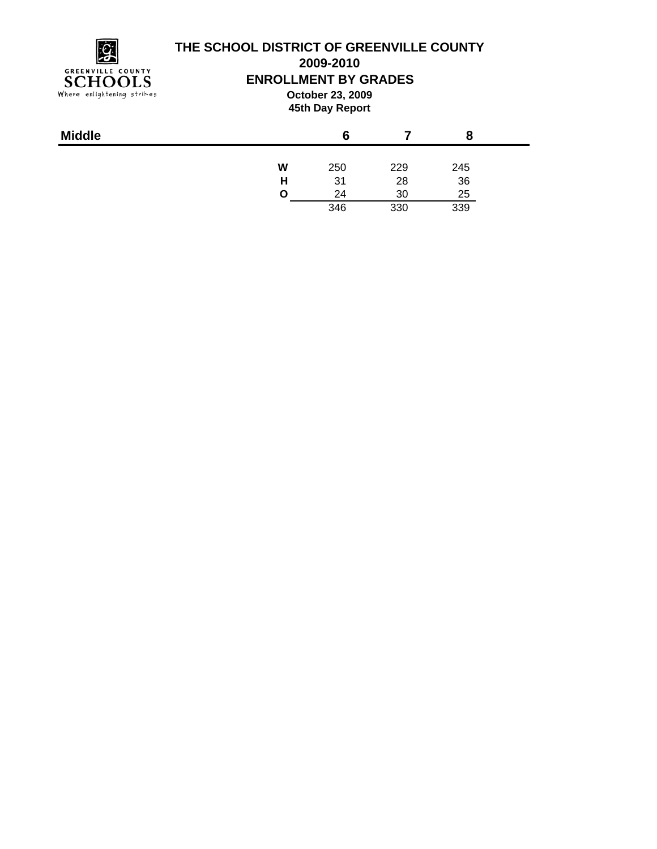

**2009-2010**

### **ENROLLMENT BY GRADES**

**October 23, 2009 45th Day Report**

| W<br>250<br>229<br>245 |  |
|------------------------|--|
| 36<br>31<br>28<br>н    |  |
| 25<br>24<br>30<br>Ω    |  |
| 346<br>339<br>330      |  |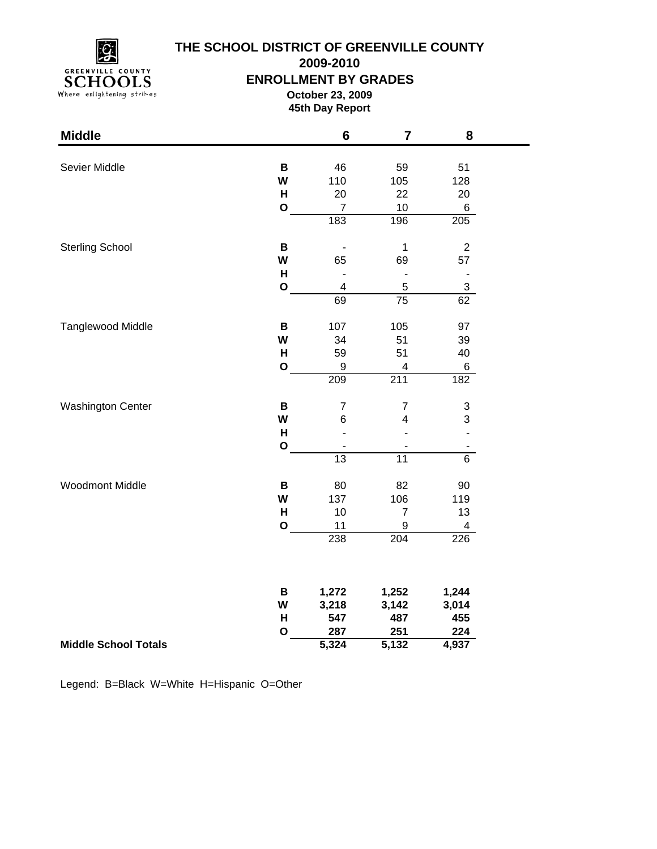

**2009-2010**

#### **ENROLLMENT BY GRADES**

**October 23, 2009 45th Day Report**

۰

| <b>Middle</b>               |              | $6\phantom{1}6$          | $\overline{7}$           | 8                            |
|-----------------------------|--------------|--------------------------|--------------------------|------------------------------|
|                             |              |                          |                          |                              |
| Sevier Middle               | B            | 46                       | 59                       | 51                           |
|                             | W            | 110                      | 105                      | 128                          |
|                             | H            | 20                       | 22                       | 20                           |
|                             | $\mathbf O$  | $\overline{7}$           | 10                       | $\,6$                        |
|                             |              | 183                      | 196                      | 205                          |
| <b>Sterling School</b>      | B            |                          | 1                        | $\sqrt{2}$                   |
|                             | W            | 65                       | 69                       | 57                           |
|                             | $\mathsf{H}$ |                          | $\overline{\phantom{m}}$ | $\qquad \qquad \blacksquare$ |
|                             | $\mathbf O$  | 4                        | $\mathbf 5$              | $\overline{3}$               |
|                             |              | 69                       | $\overline{75}$          | 62                           |
| <b>Tanglewood Middle</b>    | B            | 107                      | 105                      | 97                           |
|                             | W            | 34                       | 51                       | 39                           |
|                             | H            | 59                       | 51                       | 40                           |
|                             | $\mathbf{o}$ | 9                        | 4                        | 6                            |
|                             |              | 209                      | 211                      | 182                          |
| <b>Washington Center</b>    | B            | $\overline{\mathcal{I}}$ | $\overline{7}$           | $\ensuremath{\mathsf{3}}$    |
|                             | W            | $\,6$                    | $\overline{\mathbf{4}}$  | 3                            |
|                             | H            |                          |                          | $\overline{a}$               |
|                             | $\mathbf{o}$ |                          |                          |                              |
|                             |              | 13                       | $\overline{11}$          | $\overline{6}$               |
| Woodmont Middle             | B            | 80                       | 82                       | 90                           |
|                             | W            | 137                      | 106                      | 119                          |
|                             | H            | 10                       | $\overline{7}$           | 13                           |
|                             | O            | 11                       | $\boldsymbol{9}$         | $\overline{\mathbf{4}}$      |
|                             |              | 238                      | 204                      | 226                          |
|                             |              |                          |                          |                              |
|                             | В            | 1,272                    | 1,252                    | 1,244                        |
|                             | W            | 3,218                    | 3,142                    | 3,014                        |
|                             | H            | 547                      | 487                      | 455                          |
|                             | O            | 287                      | 251                      | 224                          |
| <b>Middle School Totals</b> |              | 5,324                    | 5,132                    | 4,937                        |

Legend: B=Black W=White H=Hispanic O=Other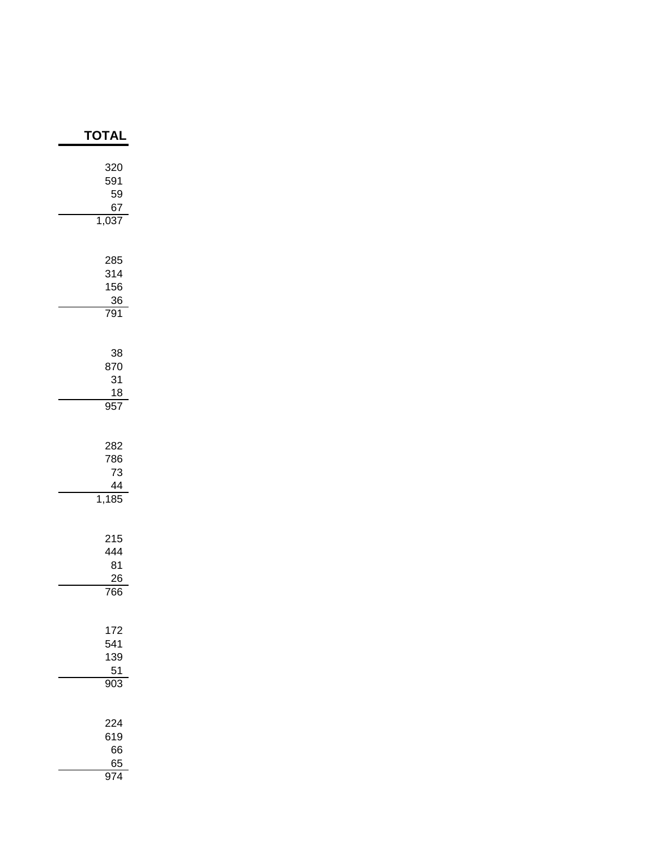| TOTAI                           |
|---------------------------------|
| 320<br>591<br>59<br>67<br>1,037 |
| 285<br>314<br>156<br>36<br>791  |
| 38<br>870<br>31<br>18<br>957    |
| 282<br>786<br>73<br>44<br>1,185 |
| 215<br>444<br>81<br>26<br>766   |
| 172<br>541<br>139<br>51<br>903  |
| 224<br>619<br>66<br>65<br>974   |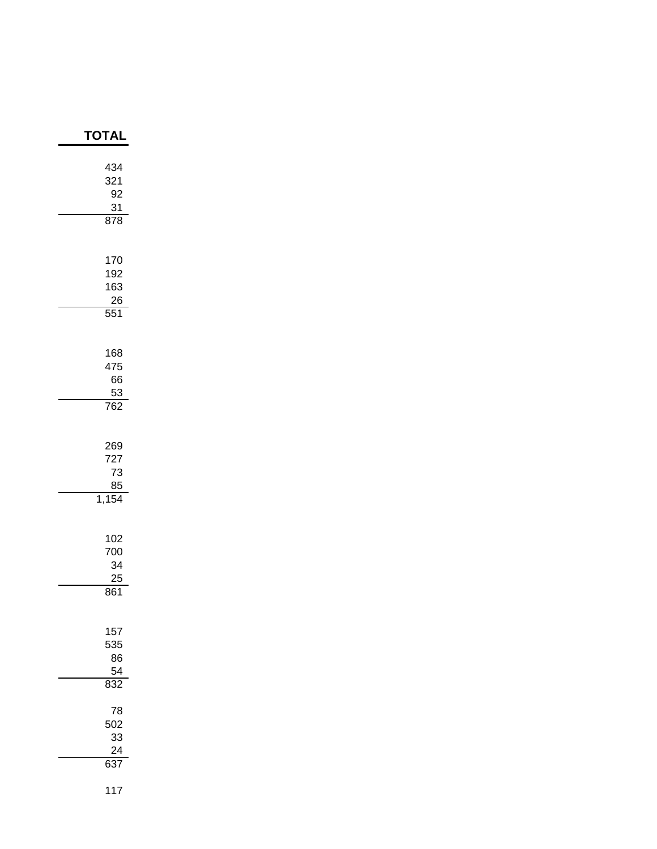| 434<br>321<br>92<br>31<br>878               |
|---------------------------------------------|
| 170<br>192<br>163<br>26<br>$\overline{551}$ |
| 168<br>475<br>66<br>$\frac{53}{762}$        |
| 269<br>727<br>73<br>85<br>1,154             |
| 102<br>700<br>34<br>25<br>861               |
| 157<br>535<br>86<br>$\frac{54}{1}$<br>832   |
| 78<br>502<br>33<br>$\frac{24}{637}$         |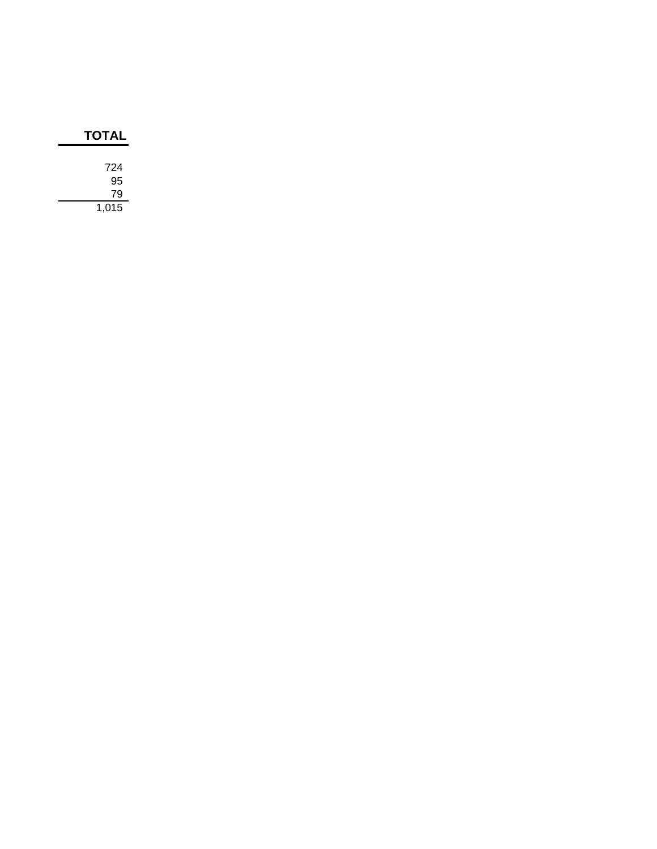| <b>TOTAL</b> |  |
|--------------|--|
| 724          |  |
| 95           |  |
| 79           |  |
| 1,015        |  |